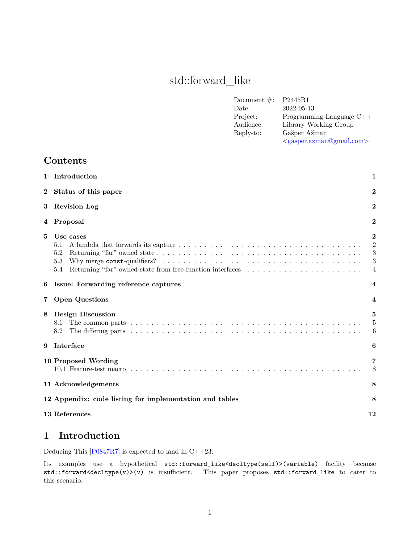# std::forward\_like

| Document $#$ : | P2445R1                           |
|----------------|-----------------------------------|
| Date:          | 2022-05-13                        |
| Project:       | Programming Language $C++$        |
| Audience:      | Library Working Group             |
| Reply-to:      | Gašper Ažman                      |
|                | $\langle$ gasper.azman@gmail.com> |
|                |                                   |

### **Contents**

| $\mathbf{2}$<br>Status of this paper<br><b>Revision Log</b><br>3<br>Proposal<br>4<br>5<br>Use cases<br>5.1<br>5.2<br>5.3<br>5.4<br>Issue: Forwarding reference captures<br>6<br><b>Open Questions</b><br>$\overline{7}$<br><b>Design Discussion</b><br>8<br>8.1<br>8.2<br>Interface<br>9<br>10 Proposed Wording<br>11 Acknowledgements<br>12 Appendix: code listing for implementation and tables<br>13 References | 1 | Introduction                                                                                                      | 1                                         |
|--------------------------------------------------------------------------------------------------------------------------------------------------------------------------------------------------------------------------------------------------------------------------------------------------------------------------------------------------------------------------------------------------------------------|---|-------------------------------------------------------------------------------------------------------------------|-------------------------------------------|
|                                                                                                                                                                                                                                                                                                                                                                                                                    |   |                                                                                                                   | $\overline{2}$                            |
|                                                                                                                                                                                                                                                                                                                                                                                                                    |   |                                                                                                                   | $\bf{2}$                                  |
|                                                                                                                                                                                                                                                                                                                                                                                                                    |   |                                                                                                                   | 2                                         |
|                                                                                                                                                                                                                                                                                                                                                                                                                    |   | Returning "far" owned-state from free-function interfaces $\dots \dots \dots \dots \dots \dots \dots \dots \dots$ | $\bf{2}$<br>$\overline{2}$<br>3<br>3<br>4 |
|                                                                                                                                                                                                                                                                                                                                                                                                                    |   |                                                                                                                   | $\overline{\mathbf{4}}$                   |
|                                                                                                                                                                                                                                                                                                                                                                                                                    |   |                                                                                                                   | 4                                         |
|                                                                                                                                                                                                                                                                                                                                                                                                                    |   |                                                                                                                   | 5<br>5<br>6                               |
|                                                                                                                                                                                                                                                                                                                                                                                                                    |   |                                                                                                                   | 6                                         |
|                                                                                                                                                                                                                                                                                                                                                                                                                    |   |                                                                                                                   | 7<br>8                                    |
|                                                                                                                                                                                                                                                                                                                                                                                                                    |   |                                                                                                                   | 8                                         |
|                                                                                                                                                                                                                                                                                                                                                                                                                    |   |                                                                                                                   | 8                                         |
|                                                                                                                                                                                                                                                                                                                                                                                                                    |   |                                                                                                                   | 12                                        |

## <span id="page-0-0"></span>**1 Introduction**

Deducing This [\[P0847R7](#page-11-1)] is expected to land in C++23.

Its examples use a hypothetical std::forward\_like<decltype(self)>(variable) facility because std::forward<decltype(v)>(v) is insufficient. This paper proposes std::forward\_like to cater to this scenario.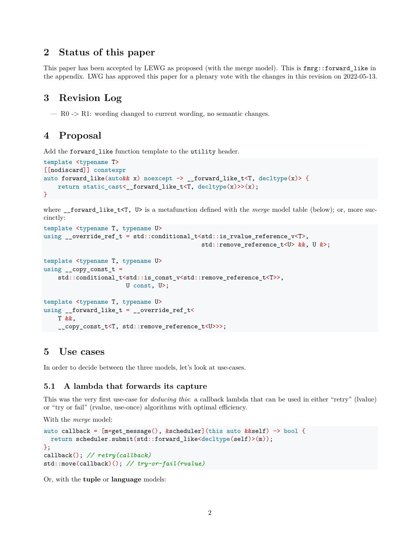### <span id="page-1-0"></span>**2 Status of this paper**

This paper has been accepted by LEWG as proposed (with the merge model). This is fmrg::forward\_like in the appendix. LWG has approved this paper for a plenary vote with the changes in this revision on 2022-05-13.

### <span id="page-1-1"></span>**3 Revision Log**

 $-$  R0 -> R1: wording changed to current wording, no semantic changes.

### <span id="page-1-2"></span>**4 Proposal**

Add the forward like function template to the utility header.

```
template <typename T>
[[nodiscard]] constexpr
auto forward_like(auto&& x) noexcept -> __forward_like_t<T, decltype(x)> {
   return static_cast<__forward_like_t<T, decltype(x)>>(x);
}
```
where \_\_forward\_like\_t<T, U> is a metafunction defined with the *merge* model table (below); or, more succinctly:

```
template <typename T, typename U>
using __override_ref_t = std::conditional_t<std::is_rvalue_reference_v<T>,
                                             std::remove_reference_t<U> &&, U &>;
template <typename T, typename U>
using _{\text{1}} copy_const_t =
    std::conditional_t<std::is_const_v<std::remove_reference_t<T>>,
                        U const, U>;
template <typename T, typename U>
using _ forward_like_t = _override_ref_t<
    T &&,
    __copy_const_t<T, std::remove_reference_t<U>>>;
```
#### <span id="page-1-3"></span>**5 Use cases**

In order to decide between the three models, let's look at use-cases.

#### <span id="page-1-4"></span>**5.1 A lambda that forwards its capture**

This was the very first use-case for *deducing this*: a callback lambda that can be used in either "retry" (lvalue) or "try or fail" (rvalue, use-once) algorithms with optimal efficiency.

With the *merge* model:

```
auto callback = [m=get\_message(), &scheduler](this auto &&self) -> bool {
 return scheduler.submit(std::forward_like<decltype(self)>(m));
};
callback(); // retry(callback)
std::move(callback)(); // try-or-fail(rvalue)
```
Or, with the **tuple** or **language** models: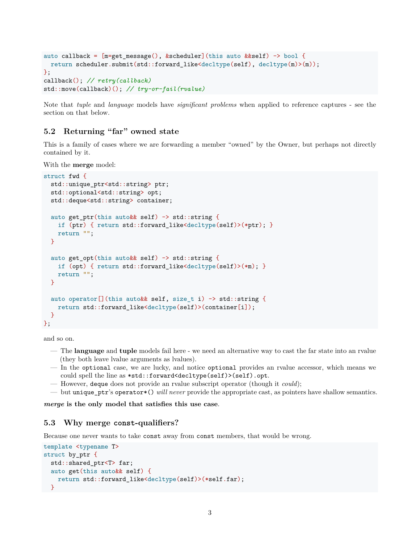```
auto callback = [m=get message(), &scheduler](this auto &&self) -> bool {
 return scheduler.submit(std::forward_like<decltype(self), decltype(m)>(m));
};
callback(); // retry(callback)
std::move(callback)(); // try-or-fail(rvalue)
```
Note that *tuple* and *language* models have *significant problems* when applied to reference captures - see the section on that below.

#### <span id="page-2-0"></span>**5.2 Returning "far" owned state**

This is a family of cases where we are forwarding a member "owned" by the Owner, but perhaps not directly contained by it.

With the **merge** model:

```
struct fwd {
  std::unique_ptr<std::string> ptr;
  std::optional<std::string> opt;
  std::deque<std::string> container;
  auto get ptr(this auto && self) -> std::string {
    if (ptr) { return std::forward_like<decltype(self)>(*ptr); }
    return "";
  }
  auto get opt(this auto&& self) -> std::string {
    if (opt) { return std::forward_like<decltype(self)>(*m); }
    return "";
  }
  auto operator<sup>[]</sup>(this auto & self, size t i) \rightarrow std::string {
    return std::forward like<decltype(self)>(container[i]);
  }
};
```
and so on.

- The **language** and **tuple** models fail here we need an alternative way to cast the far state into an rvalue (they both leave lvalue arguments as lvalues).
- In the optional case, we are lucky, and notice optional provides an rvalue accessor, which means we could spell the line as \*std::forward<decltype(self)>(self).opt.
- However, deque does not provide an rvalue subscript operator (though it *could*);
- but unique\_ptr's operator\*() *will never* provide the appropriate cast, as pointers have shallow semantics.

*merge* **is the only model that satisfies this use case**.

#### <span id="page-2-1"></span>**5.3 Why merge const-qualifiers?**

Because one never wants to take const away from const members, that would be wrong.

```
template <typename T>
struct by_ptr {
  std::shared_ptr<T> far;
  auto get(this auto&& self) {
   return std::forward_like<decltype(self)>(*self.far);
 }
```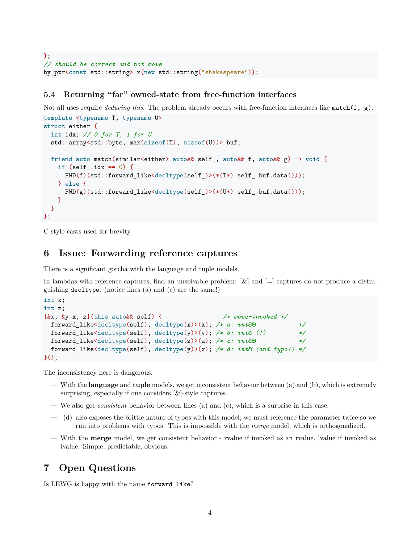```
};
// should be correct and not move
by_ptr<const std::string> x{new std::string("shakespeare")};
```
#### <span id="page-3-0"></span>**5.4 Returning "far" owned-state from free-function interfaces**

Not all uses require *deducing this*. The problem already occurs with free-function interfaces like match(f, g).

```
template <typename T, typename U>
struct either {
  int idx; // 0 for T, 1 for U
  std::array<std::byte, max(sizeof(T), sizeof(U))> buf;
  friend auto match(similar<either> auto&& self_, auto&& f, auto&& g) -> void {
    if (self .idx == 0) {
      FWD(f)(std::forward like\text{<}degree(self))\times(*(T*) self.hut.data());
    } else {
      FWD(g)(std::forward_like<decltype(self_)>(*(U*) self_.buf.data()));
    }
 }
};
```
C-style casts used for brevity.

### <span id="page-3-1"></span>**6 Issue: Forwarding reference captures**

There is a significant gotcha with the language and tuple models.

In lambdas with reference captures, find an unsolvable problem:  $\lbrack \& \rbrack$  and  $\lbrack = \rbrack$  captures do not produce a distinguishing decltype. (notice lines (a) and (c) are the same!)

```
int x;
int z;
[&x, &y=x, z](this auto&& self) { /* move-invoked */
 forward_like<decltype(self), decltype(x)>(x); /* a: int&& */
 forward_like<decltype(self), decltype(y)>(y); /* b: int\mathcal{B}(t) //
 forward_like<decltype(self), decltype(z)>(z); /* c: int&& */
 forward_like<decltype(self), decltype(y)>(x); /* d: int& (and typo!) */
}();
```
The inconsistency here is dangerous.

- With the **language** and **tuple** models, we get inconsistent behavior between (a) and (b), which is extremely surprising, especially if one considers [&]-style captures.
- We also get *consistent* behavior between lines (a) and (c), which is a surprise in this case.
- (d) also exposes the brittle nature of typos with this model; we must reference the parameter twice so we run into problems with typos. This is impossible with the *merge* model, which is orthogonalized.
- With the **merge** model, we get consistent behavior rvalue if invoked as an rvalue, lvalue if invoked as lvalue. Simple, predictable, obvious.

### <span id="page-3-2"></span>**7 Open Questions**

Is LEWG is happy with the name forward\_like?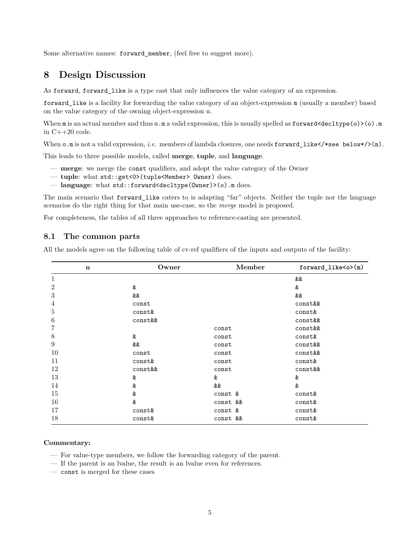Some alternative names: forward\_member, (feel free to suggest more).

#### <span id="page-4-0"></span>**8 Design Discussion**

As forward, forward\_like is a type cast that only influences the value category of an expression.

forward\_like is a facility for forwarding the value category of an object-expression m (usually a member) based on the value category of the owning object-expression o.

When  $m$  is an actual member and thus  $o.m$  a valid expression, this is usually spelled as  $forward \leq \text{dettype}(o) \geq o$ . in C++20 code.

When  $\circ$  m is not a valid expression, *i.e.* members of lambda closures, one needs forward\_like</\*see below\*/>(m).

This leads to three possible models, called **merge**, **tuple**, and **language**.

- **merge**: we merge the const qualifiers, and adopt the value category of the Owner
- **tuple**: what std::get<0>(tuple<Member> Owner) does.
- **language**: what std::forward<decltype(Owner)>(o).m does.

The main scenario that forward like caters to is adapting "far" objects. Neither the tuple nor the language scenarios do the right thing for that main use-case, so the *merge* model is proposed.

For completeness, the tables of all three approaches to reference-casting are presented.

#### <span id="page-4-1"></span>**8.1 The common parts**

All the models agree on the following table of cv-ref qualifiers of the inputs and outputs of the facility:

| $\mathbf n$      | Owner   | Member   | forward_like <o>(m)</o> |
|------------------|---------|----------|-------------------------|
| 1                |         |          | &&                      |
| $\overline{2}$   | &       |          | &                       |
| $\sqrt{3}$       | &&      |          | &&                      |
| $\overline{4}$   | const   |          | const&&                 |
| $\bf 5$          | const&  |          | const&                  |
| $\,6$            | const&& |          | const&&                 |
| 7                |         | const    | const&&                 |
| 8                | &       | const    | const&                  |
| $\boldsymbol{9}$ | &&      | const    | const&&                 |
| 10               | const   | const    | const&&                 |
| 11               | const&  | const    | const&                  |
| 12               | const&& | const    | const&&                 |
| 13               | &       | &        | &                       |
| 14               | &       | &&       | &                       |
| 15               | &       | const &  | const&                  |
| 16               | &       | const && | const&                  |
| 17               | const&  | const &  | const&                  |
| 18               | const&  | const && | const&                  |

#### **Commentary:**

- For value-type members, we follow the forwarding category of the parent.
- If the parent is an lvalue, the result is an lvalue even for references.
- const is merged for these cases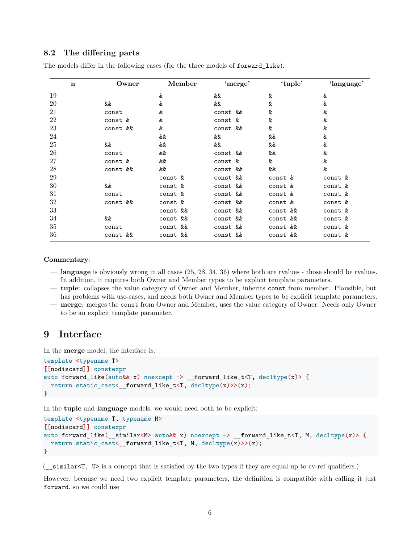#### <span id="page-5-0"></span>**8.2 The differing parts**

| $\mathbf n$ | Owner    | Member   | 'merge'  | 'tuple'     | 'language' |
|-------------|----------|----------|----------|-------------|------------|
| 19          |          | &        | &&       | &           | &          |
| 20          | &&       | &        | &&       | &           | &          |
| 21          | const    | &        | const && | &           | &          |
| 22          | const &  | &        | const &  | &           | &          |
| 23          | const && | &        | const && | &           | &          |
| 24          |          | &&       | &&       | &&          | &          |
| 25          | &&       | &&       | &&       | &&          | &          |
| 26          | const    | &&       | const && | &&          | &          |
| 27          | const &  | &&       | const &  | &           | &          |
| 28          | const && | &&       | const && | &&          | &          |
| 29          |          | const &  | const && | const &     | const &    |
| $30\,$      | &&       | const &  | const && | const &     | const &    |
| 31          | const    | const &  | const && | const &     | const &    |
| 32          | const && | const &  | const && | const &     | const &    |
| 33          |          | const && | const && | const &&    | const &    |
| 34          | &&       | const && | const && | &&<br>const | const &    |
| 35          | const    | const && | const && | const &&    | const &    |
| 36          | const && | const && | const && | const &&    | const &    |

The models differ in the following cases (for the three models of forward\_like).

#### **Commentary**:

- **language** is obviously wrong in all cases (25, 28, 34, 36) where both are rvalues those should be rvalues. In addition, it requires both Owner and Member types to be explicit template parameters.
- **tuple**: collapses the value category of Owner and Member, inherits const from member. Plausible, but has problems with use-cases, and needs both Owner and Member types to be explicit template parameters. — **merge**: merges the const from Owner and Member, uses the value category of Owner. Needs only Owner
- to be an explicit template parameter.

### <span id="page-5-1"></span>**9 Interface**

In the **merge** model, the interface is:

```
template <typename T>
[[nodiscard]] constexpr
auto forward_like(auto&& x) noexcept \rightarrow __forward_like_t<T, decltype(x)> {
 return static_cast<__forward_like_t<T, decltype(x)>>(x);
}
```
In the **tuple** and **language** models, we would need both to be explicit:

```
template <typename T, typename M>
[[nodiscard]] constexpr
auto forward_like(__similar<M> auto&& x) noexcept -> __forward_like_t<T, M, decltype(x)> {
  return static_cast<__forward_like_t<T, M, decltype(x)>>(x);
}
```
(\_\_similar<T, U> is a concept that is satisfied by the two types if they are equal up to cv-ref qualifiers.)

However, because we need two explicit template parameters, the definition is compatible with calling it just forward, so we could use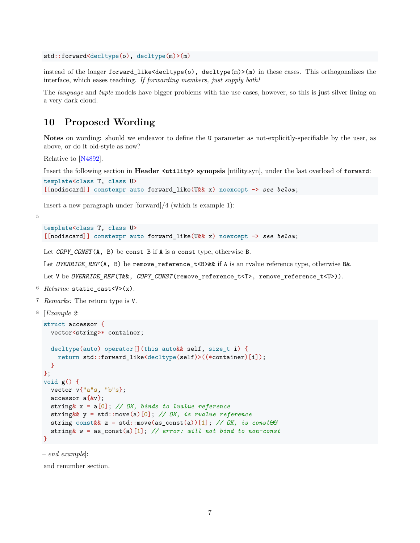```
std::forward<decltype(o), decltype(m)>(m)
```
instead of the longer forward\_like<decltype(o), decltype(m)>(m) in these cases. This orthogonalizes the interface, which eases teaching. *If forwarding members, just supply both!*

The *language* and *tuple* models have bigger problems with the use cases, however, so this is just silver lining on a very dark cloud.

### <span id="page-6-0"></span>**10 Proposed Wording**

**Notes** on wording: should we endeavor to define the U parameter as not-explicitly-specifiable by the user, as above, or do it old-style as now?

Relative to [\[N4892\]](#page-11-2).

Insert the following section in **Header <utility> synopsis** [utility.syn], under the last overload of forward:

```
template<class T, class U>
[[nodiscard]] constexpr auto forward_like(U&& x) noexcept -> see below;
```
Insert a new paragraph under [forward]/4 (which is example 1):

5

```
template<class T, class U>
[[nodiscard]] constexpr auto forward_like(U&& x) noexcept -> see below;
```
Let *COPY\_CONST*(A, B) be const B if A is a const type, otherwise B.

Let *OVERRIDE\_REF*(A, B) be remove\_reference\_t<B>&& if A is an rvalue reference type, otherwise B&.

Let V be *OVERRIDE\_REF*(T&&, *COPY\_CONST*(remove\_reference\_t<T>, remove\_reference\_t<U>)).

- <sup>6</sup> *Returns:* static\_cast<V>(x).
- <sup>7</sup> *Remarks:* The return type is V.

```
8 [Example 2:
```

```
struct accessor {
  vector<string>* container;
  decltype(auto) operator[](this auto&& self, size_t i) {
    return std::forward_like<decltype(self)>((*container)[i]);
  }
};
void g() {
 vector v{"a"s, "b"s};
  accessor a{&v};
  string& x = a[0]; // OK, binds to lvalue reference
  string&& y = std::move(a)[0]; // OK, is rvalue reference
  string const&& z = std::move(as_const(a))[1]; // OK, is const&&
  string& w = as_const(a)[1]; // error: will not bind to non-const
}
```
– *end example*]:

and renumber section.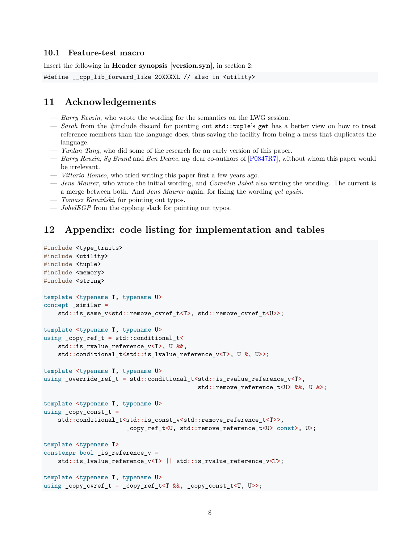#### <span id="page-7-0"></span>**10.1 Feature-test macro**

Insert the following in **Header synopsis [version.syn]**, in section 2:

```
#define cpp_lib_forward_like 20XXXXL // also in <utility>
```
#### <span id="page-7-1"></span>**11 Acknowledgements**

- *Barry Revzin*, who wrote the wording for the semantics on the LWG session.
- *Sarah* from the #include discord for pointing out std::tuple's get has a better view on how to treat reference members than the language does, thus saving the facility from being a mess that duplicates the language.
- *Yunlan Tang*, who did some of the research for an early version of this paper.
- *Barry Revzin*, *Sy Brand* and *Ben Deane*, my dear co-authors of [\[P0847R7](#page-11-1)], without whom this paper would be irrelevant.
- *Vittorio Romeo*, who tried writing this paper first a few years ago.
- *Jens Maurer*, who wrote the initial wording, and *Corentin Jabot* also writing the wording. The current is a merge between both. And *Jens Maurer* again, for fixing the wording *yet again*.
- *Tomasz Kamiński*, for pointing out typos.
- *JohelEGP* from the cpplang slack for pointing out typos.

#### <span id="page-7-2"></span>**12 Appendix: code listing for implementation and tables**

```
#include <type traits>
#include <utility>
#include <tuple>
#include <memory>
#include <string>
template <typename T, typename U>
concept _similar =
   std::is_same_v<std::remove_cvref_t<T>, std::remove_cvref_t<U>>;
template <typename T, typename U>
using _{\rm copy\_ref\_t} = std::conditional_t<
   std::is_rvalue_reference_v<T>, U &&,
   std::conditional_t<std::is_lvalue_reference_v<T>, U &, U>>;
template <typename T, typename U>
using _override_ref_t = std::conditional_t<std::is_rvalue_reference_v<T>,
                                           std::remove reference t<U> &&, U &>;
template <typename T, typename U>
using copy const t =std::conditional_t<std::is_const_v<std::remove_reference_t<T>>,
                       _copy_ref_t<U, std::remove_reference_t<U> const>, U>;
template <typename T>
constexpr bool _is_reference_v =
   std::is_lvalue_reference_v<T> || std::is_rvalue_reference_v<T>;
template <typename T, typename U>
using _copy_cvref_t = _copy_ref_t<T &&, _copy_const_t<T, U>>;
```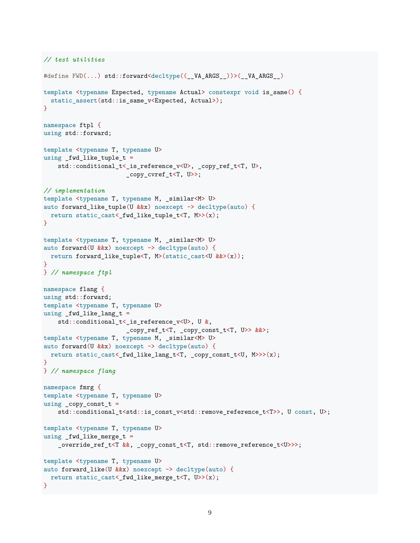```
// test utilities
#define FWD(...) std::forward<decltype((__VA_ARGS__))>(__VA_ARGS__)
template <typename Expected, typename Actual> constexpr void is same() {
 static_assert(std::is_same_v<Expected, Actual>);
}
namespace ftpl {
using std::forward;
template <typename T, typename U>
using _fwd_like_tuple_t =
    std::conditional_t<_is_reference_v<U>, _copy_ref_t<T, U>,
                       _copy_cvref_t<T, U>>;
// implementation
template <typename T, typename M, _similar<M> U>
auto forward_like_tuple(U &&x) noexcept -> decltype(auto) {
 return static_cast<_fwd_like_tuple_t<T, M>>(x);
}
template <typename T, typename M, _similar<M> U>
auto forward(U \&x) noexcept -> decltype(auto) {
 return forward_like_tuple<T, M>(static_cast<U &&>(x));
}
} // namespace ftpl
namespace flang {
using std::forward;
template <typename T, typename U>
using fwdlike_lang_t =
    std::conditional t< is reference v<U>, U &,
                       _copy_ref_t<T, _copy_const_t<T, U>> &&>;
template <typename T, typename M, _similar<M> U>
auto forward(U &&x) noexcept -> decltype(auto) {
 return static_cast<_fwd_like_lang_t<T, _copy_const_t<U, M>>>(x);
}
} // namespace flang
namespace fmrg {
template <typename T, typename U>
using _{\text{copy} \text{-} \text{const}\_t =std::conditional_t<std::is_const_v<std::remove_reference_t<T>>, U const, U>;
template <typename T, typename U>
using fwdlike_merge_t =
    _override_ref_t<T &&, _copy_const_t<T, std::remove_reference_t<U>>>;
template <typename T, typename U>
auto forward_like(U &&x) noexcept -> decltype(auto) {
 return static_cast<_fwd_like_merge_t<T, U>>(x);
}
```

```
9
```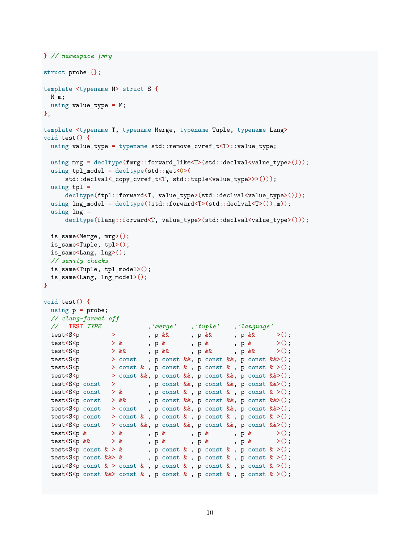```
} // namespace fmrg
struct probe {};
template <typename M> struct S {
 M m;
 using value_type = M;
};
template <typename T, typename Merge, typename Tuple, typename Lang>
void test() {
 using value_type = typename std::remove_cvref_t<T>::value_type;
 using mrg = decltype(fmrg::forward_like<T>(std::declval<value_type>()));
 using tpl model = decltype(std::get < 0)(
     std::declval<_copy_cvref_t<T, std::tuple<value_type>>>()));
 using tpl =decltype(ftpl::forward<T, value_type>(std::declval<value_type>()));
 using lng_model = decltype((std::forward<T>(std::declval<T>()).m));
 using ln g =decltype(flang::forward<T, value_type>(std::declval<value_type>()));
 is_same<Merge, mrg>();
 is_same<Tuple, tpl>();
 is_same<Lang, lng>();
 // sanity checks
 is same<Tuple, tpl model>();
 is_same<Lang, lng_model>();
\mathbf{I}void test() {
 using p = probe;// clang-format off
 // TEST TYPE ,'merge' ,'tuple' ,'language'
 test<S<p > , p && , p && , p && >();
  test<S<p > \times , p & , p & , p & >();
  test<S<p > && , p && , p && , p && >();
 test<S<p > const , p const &&, p const &&, p const &&>();
 test<S<p > const & , p const & , p const & , p const & >();
 test<S<p > const &&, p const &&, p const &&, p const &&>();
 test<S<p const > , p const &&, p const &&, p const &&>();
 test<S<p const > & , p const & , p const & , p const & >();
 test<S<p const > && , p const &&, p const &&, p const &&>();
 test<S<p const > const , p const &&, p const &&, p const &&>();
 test<S<p const > const & , p const & , p const & >();
 test<S<p const > const &&, p const &&, p const &&, p const &&>();
 test<S<p & > & , p & , p & , p & >();
 test<br><S<p\&\qquad\,>\, \&\qquad\qquad\, ,\ p\,\, \&\qquad\qquad\, ,\ p\,\, \&\qquad\qquad\, ,\ p\,\, \&\qquad\qquad\, >()\,\,;test<S<p const k > k, p const k, p const k, p const k > (;
 test<br><S<p const &&> & , p const & , p const & , p const & >();
 test<S<p const k > const k, p const k, p const k > ();
 test<S<p const \&\& const \& , p const \& , p const \& , p const \& >();
```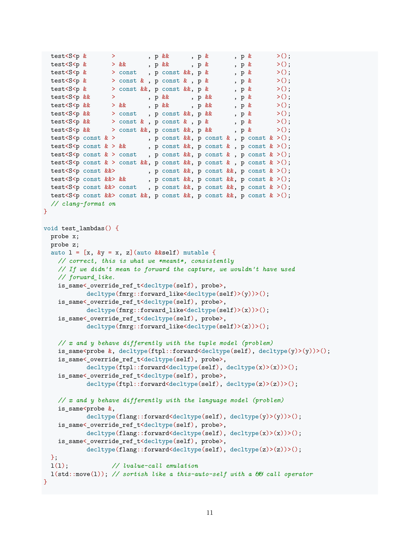```
test<S<p & > , p & , p & , p & >();
 test<br><S<p & > && , p & , p & , p & >();
 test<br><S<p & > const , p const &&, p & , p & >();
 test<S<p & > const & , p const & , p & , p & >();
 test <S <p & > const &&, p const &&, p & , p & >();
 test<S<p && > , p && , p && , p & >();
 test<S<p && > && , p && , p && , p & >();
 test<S<p && > const , p const &&, p & , p & >();
 test<S<p && > const & , p const & , p & , p & >();
 test <S < p & \& > const & x, p const & x, p & \& >();
 test<S<p const \>, p const \&, p const \&, p const \& >();
 test<S<p const k > kk, p const kk, p const k, p const k > (;
 test<S<p const \> const , p const \&, p const \&, p const \&>();
 test<S<p const k > const k, p const k, p const k, p const k > ();
 test<S<p const &&>
, p const &&, p const &&, p const & >();
 test<S<p const &&> && , p const &&, p const &&, p const & >();
 test<S<p const &&> const , p const &&, p const &&, p const & >();
 test<S<p const \&\& const \&\&, p const \&\&, p const \&, p const \& >();
 // clang-format on
}
void test_lambdas() {
 probe x;
 probe z;
 auto 1 = [x, \ ky = x, z] (auto \&self) mutable {
   // correct, this is what we *meant*, consistently
   // If we didn't mean to forward the capture, we wouldn't have used
   // forward_like.
   is_same<_override_ref_t<decltype(self), probe>,
           decltype(fmrg::forward_like<decltype(self)>(y))>();
   is_same<_override_ref_t<decltype(self), probe>,
          decltype(fmrg::forward_like<decltype(self)>(x))>();
   is same< override ref t<decltype(self), probe>,
          decltype(fmrg::forward_like<decltype(self)>(z))>();
   // x and y behave differently with the tuple model (problem)
   is_same<probe &, decltype(ftpl::forward<decltype(self), decltype(y)>(y))>();
   is_same<_override_ref_t<decltype(self), probe>,
          decltype(ftpl::forward<decltype(self), decltype(x)>(x))>();
   is_same<_override_ref_t<decltype(self), probe>,
          decltype(ftpl::forward<decltype(self), decltype(z)>(z))>();
   // x and y behave differently with the language model (problem)
   is same<br/>probe k,
           \text{dedtype}(\text{flang::forward\textless} \text{dedctype}(\text{self}), \text{dedctype}(\text{y})\text{>(y)}).is_same<_override_ref_t<decltype(self), probe>,
          decltype(flang::forward<decltype(self), decltype(x)>(x))>();
   is_same<_override_ref_t<decltype(self), probe>,
          decltype(flang::forward<decltype(self), decltype(z)>(z))>();
 };
 l(l); // lvalue-call emulation
 l(std::move(l)); // sortish like a this-auto-self with a && call operator
}
```